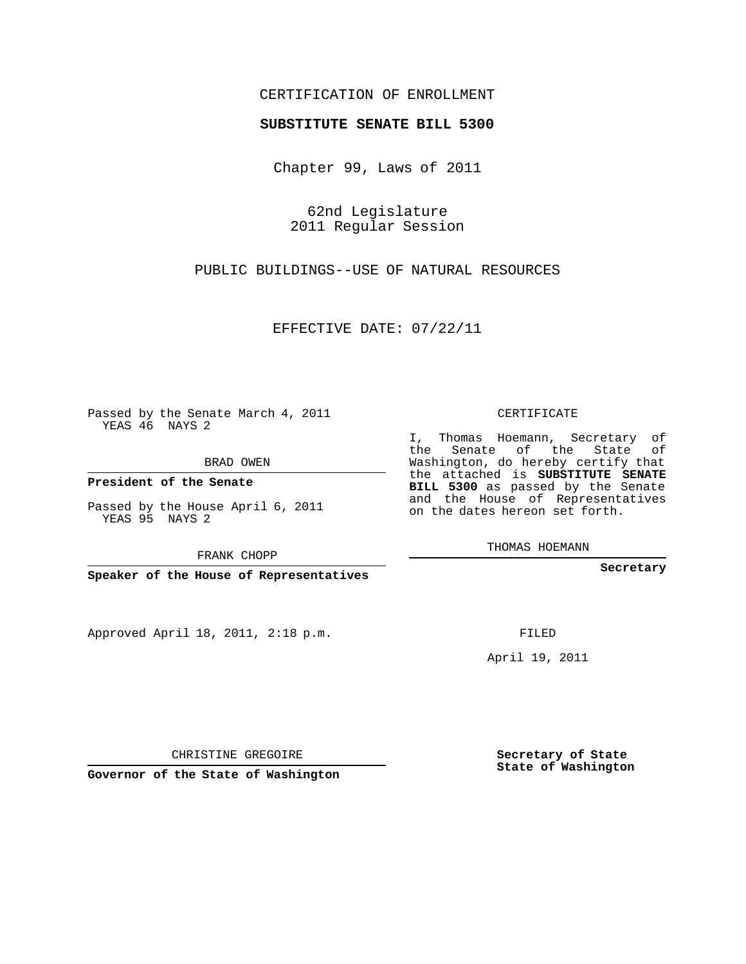## CERTIFICATION OF ENROLLMENT

## **SUBSTITUTE SENATE BILL 5300**

Chapter 99, Laws of 2011

62nd Legislature 2011 Regular Session

PUBLIC BUILDINGS--USE OF NATURAL RESOURCES

EFFECTIVE DATE: 07/22/11

Passed by the Senate March 4, 2011 YEAS 46 NAYS 2

BRAD OWEN

**President of the Senate**

Passed by the House April 6, 2011 YEAS 95 NAYS 2

FRANK CHOPP

**Speaker of the House of Representatives**

Approved April 18, 2011, 2:18 p.m.

CERTIFICATE

I, Thomas Hoemann, Secretary of the Senate of the State of Washington, do hereby certify that the attached is **SUBSTITUTE SENATE BILL 5300** as passed by the Senate and the House of Representatives on the dates hereon set forth.

THOMAS HOEMANN

**Secretary**

FILED

April 19, 2011

CHRISTINE GREGOIRE

**Governor of the State of Washington**

**Secretary of State State of Washington**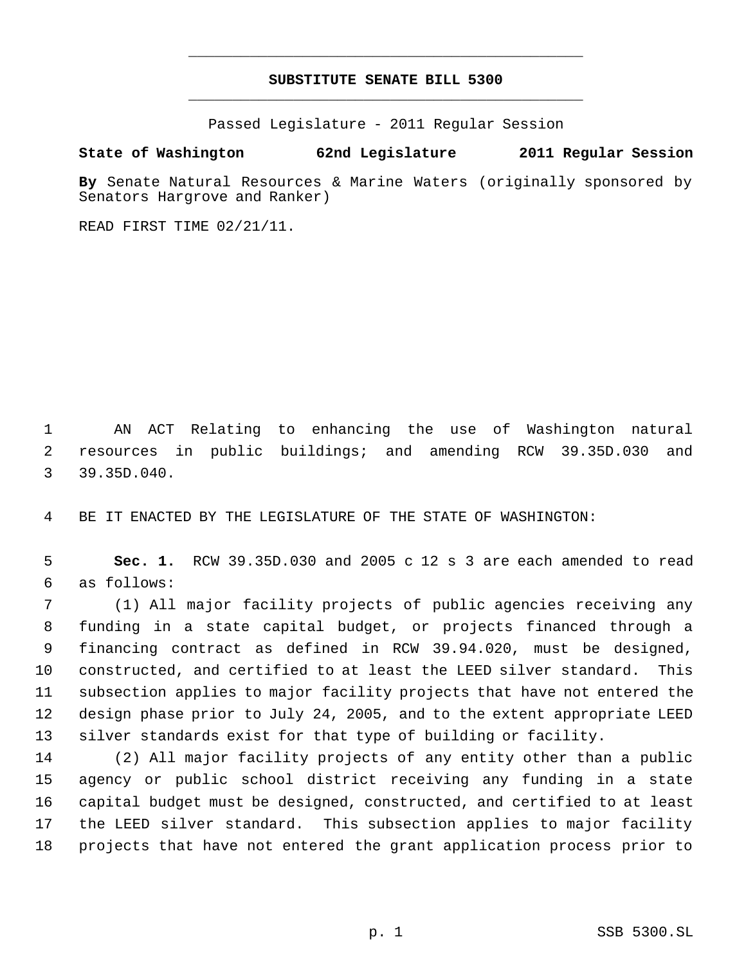## **SUBSTITUTE SENATE BILL 5300** \_\_\_\_\_\_\_\_\_\_\_\_\_\_\_\_\_\_\_\_\_\_\_\_\_\_\_\_\_\_\_\_\_\_\_\_\_\_\_\_\_\_\_\_\_

\_\_\_\_\_\_\_\_\_\_\_\_\_\_\_\_\_\_\_\_\_\_\_\_\_\_\_\_\_\_\_\_\_\_\_\_\_\_\_\_\_\_\_\_\_

Passed Legislature - 2011 Regular Session

## **State of Washington 62nd Legislature 2011 Regular Session**

**By** Senate Natural Resources & Marine Waters (originally sponsored by Senators Hargrove and Ranker)

READ FIRST TIME 02/21/11.

 AN ACT Relating to enhancing the use of Washington natural resources in public buildings; and amending RCW 39.35D.030 and 39.35D.040.

BE IT ENACTED BY THE LEGISLATURE OF THE STATE OF WASHINGTON:

 **Sec. 1.** RCW 39.35D.030 and 2005 c 12 s 3 are each amended to read as follows:

 (1) All major facility projects of public agencies receiving any funding in a state capital budget, or projects financed through a financing contract as defined in RCW 39.94.020, must be designed, constructed, and certified to at least the LEED silver standard. This subsection applies to major facility projects that have not entered the design phase prior to July 24, 2005, and to the extent appropriate LEED silver standards exist for that type of building or facility.

 (2) All major facility projects of any entity other than a public agency or public school district receiving any funding in a state capital budget must be designed, constructed, and certified to at least the LEED silver standard. This subsection applies to major facility projects that have not entered the grant application process prior to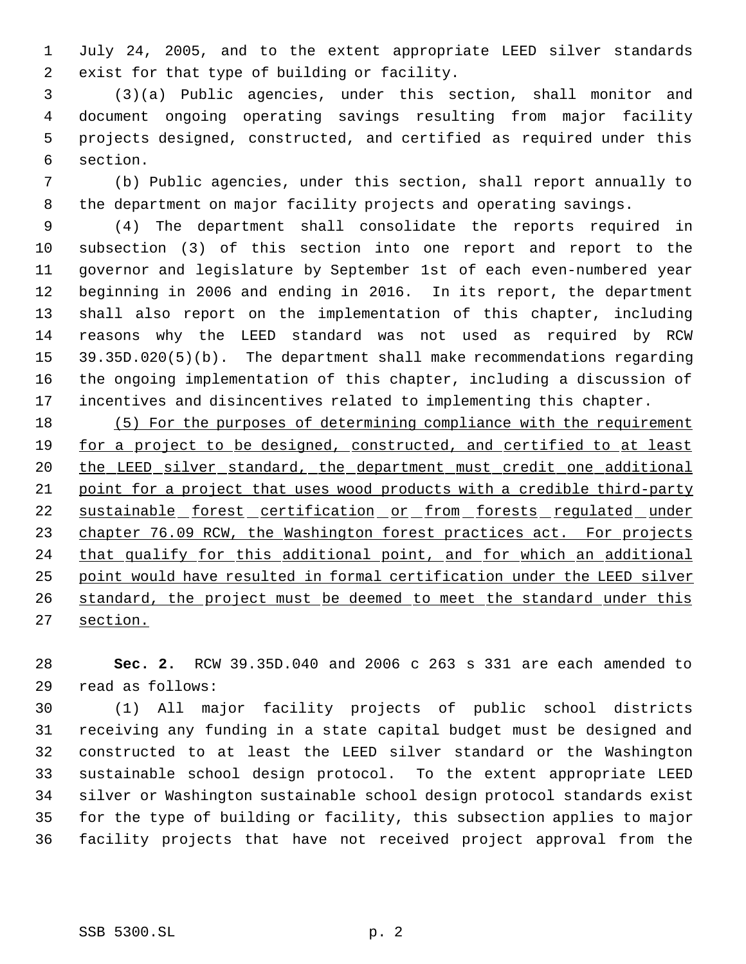July 24, 2005, and to the extent appropriate LEED silver standards exist for that type of building or facility.

 (3)(a) Public agencies, under this section, shall monitor and document ongoing operating savings resulting from major facility projects designed, constructed, and certified as required under this section.

 (b) Public agencies, under this section, shall report annually to the department on major facility projects and operating savings.

 (4) The department shall consolidate the reports required in subsection (3) of this section into one report and report to the governor and legislature by September 1st of each even-numbered year beginning in 2006 and ending in 2016. In its report, the department shall also report on the implementation of this chapter, including reasons why the LEED standard was not used as required by RCW 39.35D.020(5)(b). The department shall make recommendations regarding the ongoing implementation of this chapter, including a discussion of incentives and disincentives related to implementing this chapter.

 (5) For the purposes of determining compliance with the requirement 19 for a project to be designed, constructed, and certified to at least 20 the LEED silver standard, the department must credit one additional point for a project that uses wood products with a credible third-party 22 sustainable forest certification or from forests regulated under 23 chapter 76.09 RCW, the Washington forest practices act. For projects 24 that qualify for this additional point, and for which an additional point would have resulted in formal certification under the LEED silver 26 standard, the project must be deemed to meet the standard under this section.

 **Sec. 2.** RCW 39.35D.040 and 2006 c 263 s 331 are each amended to read as follows:

 (1) All major facility projects of public school districts receiving any funding in a state capital budget must be designed and constructed to at least the LEED silver standard or the Washington sustainable school design protocol. To the extent appropriate LEED silver or Washington sustainable school design protocol standards exist for the type of building or facility, this subsection applies to major facility projects that have not received project approval from the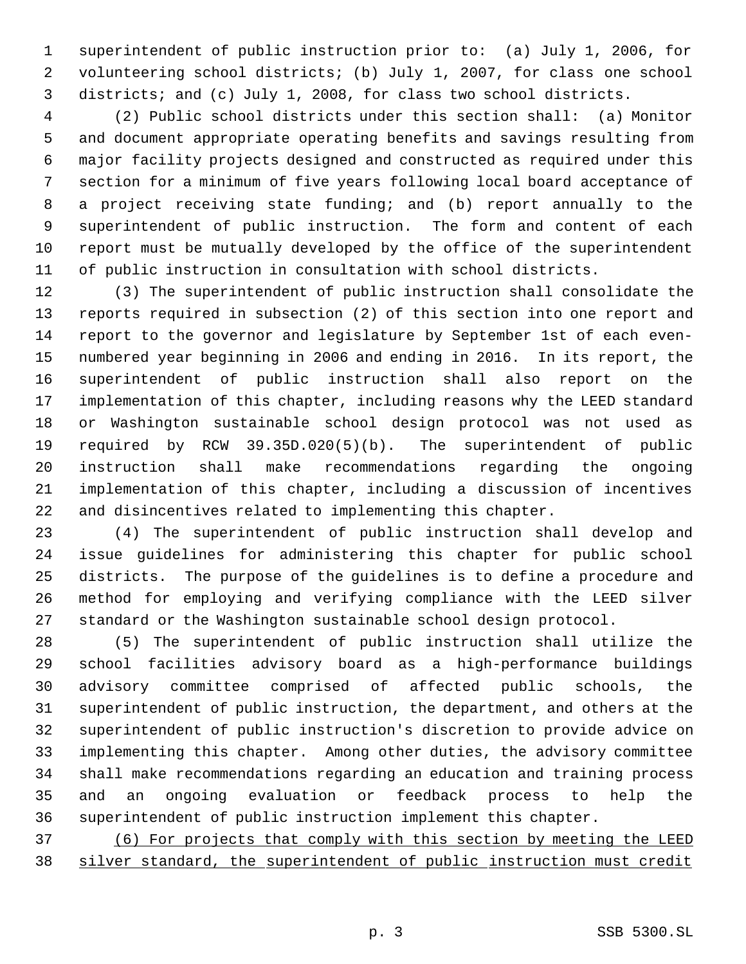superintendent of public instruction prior to: (a) July 1, 2006, for volunteering school districts; (b) July 1, 2007, for class one school districts; and (c) July 1, 2008, for class two school districts.

 (2) Public school districts under this section shall: (a) Monitor and document appropriate operating benefits and savings resulting from major facility projects designed and constructed as required under this section for a minimum of five years following local board acceptance of a project receiving state funding; and (b) report annually to the superintendent of public instruction. The form and content of each report must be mutually developed by the office of the superintendent of public instruction in consultation with school districts.

 (3) The superintendent of public instruction shall consolidate the reports required in subsection (2) of this section into one report and report to the governor and legislature by September 1st of each even- numbered year beginning in 2006 and ending in 2016. In its report, the superintendent of public instruction shall also report on the implementation of this chapter, including reasons why the LEED standard or Washington sustainable school design protocol was not used as required by RCW 39.35D.020(5)(b). The superintendent of public instruction shall make recommendations regarding the ongoing implementation of this chapter, including a discussion of incentives and disincentives related to implementing this chapter.

 (4) The superintendent of public instruction shall develop and issue guidelines for administering this chapter for public school districts. The purpose of the guidelines is to define a procedure and method for employing and verifying compliance with the LEED silver standard or the Washington sustainable school design protocol.

 (5) The superintendent of public instruction shall utilize the school facilities advisory board as a high-performance buildings advisory committee comprised of affected public schools, the superintendent of public instruction, the department, and others at the superintendent of public instruction's discretion to provide advice on implementing this chapter. Among other duties, the advisory committee shall make recommendations regarding an education and training process and an ongoing evaluation or feedback process to help the superintendent of public instruction implement this chapter.

 (6) For projects that comply with this section by meeting the LEED silver standard, the superintendent of public instruction must credit